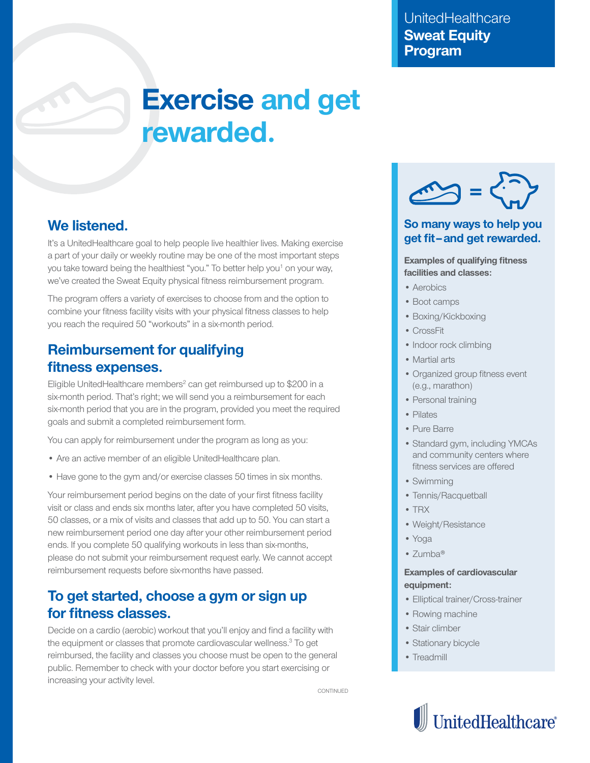# **Exercise and get rewarded.**

## **We listened.**

It's a UnitedHealthcare goal to help people live healthier lives. Making exercise a part of your daily or weekly routine may be one of the most important steps you take toward being the healthiest "you." To better help you<sup>1</sup> on your way, we've created the Sweat Equity physical fitness reimbursement program.

The program offers a variety of exercises to choose from and the option to combine your fitness facility visits with your physical fitness classes to help you reach the required 50 "workouts" in a six-month period.

# **Reimbursement for qualifying fitness expenses.**

Eligible UnitedHealthcare members<sup>2</sup> can get reimbursed up to \$200 in a six-month period. That's right; we will send you a reimbursement for each six-month period that you are in the program, provided you meet the required goals and submit a completed reimbursement form.

You can apply for reimbursement under the program as long as you:

- Are an active member of an eligible UnitedHealthcare plan.
- Have gone to the gym and/or exercise classes 50 times in six months.

Your reimbursement period begins on the date of your first fitness facility visit or class and ends six months later, after you have completed 50 visits, 50 classes, or a mix of visits and classes that add up to 50. You can start a new reimbursement period one day after your other reimbursement period ends. If you complete 50 qualifying workouts in less than six-months, please do not submit your reimbursement request early. We cannot accept reimbursement requests before six-months have passed.

## **To get started, choose a gym or sign up for fitness classes.**

Decide on a cardio (aerobic) workout that you'll enjoy and find a facility with the equipment or classes that promote cardiovascular wellness.<sup>3</sup> To get reimbursed, the facility and classes you choose must be open to the general public. Remember to check with your doctor before you start exercising or increasing your activity level.

CONTINUED



## **So many ways to help you get fit–and get rewarded.**

#### **Examples of qualifying fitness facilities and classes:**

- Aerobics
- Boot camps
- Boxing/Kickboxing
- CrossFit
- Indoor rock climbing
- Martial arts
- Organized group fitness event (e.g., marathon)
- Personal training
- Pilates
- Pure Barre
- Standard gym, including YMCAs and community centers where fitness services are offered
- Swimming
- Tennis/Racquetball
- TRX
- Weight/Resistance
- Yoga
- Zumba®

### **Examples of cardiovascular equipment:**

- Elliptical trainer/Cross-trainer
- Rowing machine
- Stair climber
- Stationary bicycle
- Treadmill